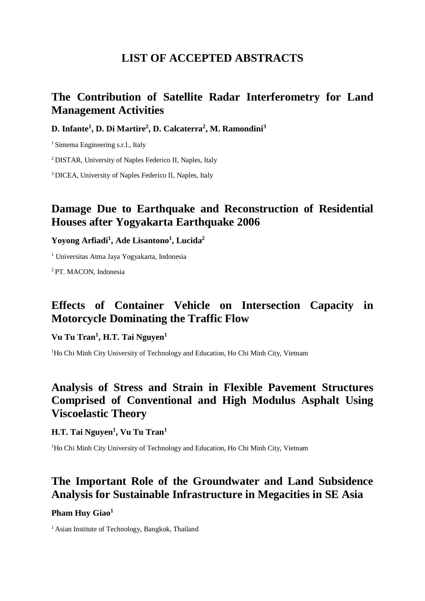### **LIST OF ACCEPTED ABSTRACTS**

# **The Contribution of Satellite Radar Interferometry for Land Management Activities**

**D. Infante<sup>1</sup> , D. Di Martire<sup>2</sup> , D. Calcaterra<sup>2</sup> , M. Ramondini<sup>3</sup>**

<sup>1</sup> Sintema Engineering s.r.l., Italy

<sup>2</sup>DISTAR, University of Naples Federico II, Naples, Italy

<sup>3</sup>DICEA, University of Naples Federico II, Naples, Italy

# **Damage Due to Earthquake and Reconstruction of Residential Houses after Yogyakarta Earthquake 2006**

**Yoyong Arfiadi<sup>1</sup> , Ade Lisantono<sup>1</sup> , Lucida<sup>2</sup>**

<sup>1</sup> Universitas Atma Jaya Yogyakarta, Indonesia

<sup>2</sup>PT. MACON, Indonesia

# **Effects of Container Vehicle on Intersection Capacity in Motorcycle Dominating the Traffic Flow**

**Vu Tu Tran<sup>1</sup> , H.T. Tai Nguyen<sup>1</sup>**

<sup>1</sup>Ho Chi Minh City University of Technology and Education, Ho Chi Minh City, Vietnam

# **Analysis of Stress and Strain in Flexible Pavement Structures Comprised of Conventional and High Modulus Asphalt Using Viscoelastic Theory**

### **H.T. Tai Nguyen<sup>1</sup> , Vu Tu Tran<sup>1</sup>**

<sup>1</sup>Ho Chi Minh City University of Technology and Education, Ho Chi Minh City, Vietnam

### **The Important Role of the Groundwater and Land Subsidence Analysis for Sustainable Infrastructure in Megacities in SE Asia**

#### **Pham Huy Giao<sup>1</sup>**

<sup>1</sup> Asian Institute of Technology, Bangkok, Thailand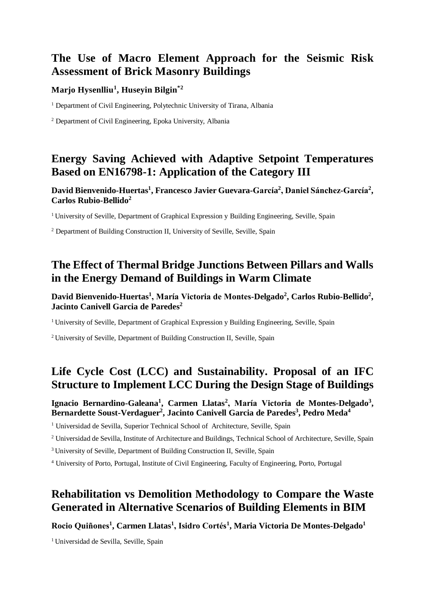# **The Use of Macro Element Approach for the Seismic Risk Assessment of Brick Masonry Buildings**

### **Marjo Hysenlliu<sup>1</sup> , Huseyin Bilgin\*2**

<sup>1</sup> Department of Civil Engineering, Polytechnic University of Tirana, Albania

<sup>2</sup> Department of Civil Engineering, Epoka University, Albania

# **Energy Saving Achieved with Adaptive Setpoint Temperatures Based on EN16798-1: Application of the Category III**

**David Bienvenido-Huertas<sup>1</sup> , Francesco Javier Guevara-García 2 , Daniel Sánchez-García<sup>2</sup> , Carlos Rubio-Bellido<sup>2</sup>**

<sup>1</sup> University of Seville, Department of Graphical Expression y Building Engineering, Seville, Spain

<sup>2</sup> Department of Building Construction II, University of Seville, Seville, Spain

# **The Effect of Thermal Bridge Junctions Between Pillars and Walls in the Energy Demand of Buildings in Warm Climate**

David Bienvenido-Huertas<sup>1</sup>, María Victoria de Montes-Delgado<sup>2</sup>, Carlos Rubio-Bellido<sup>2</sup>, **Jacinto Canivell Garcia de Paredes<sup>2</sup>**

<sup>1</sup> University of Seville, Department of Graphical Expression y Building Engineering, Seville, Spain

<sup>2</sup> University of Seville, Department of Building Construction II, Seville, Spain

# **Life Cycle Cost (LCC) and Sustainability. Proposal of an IFC Structure to Implement LCC During the Design Stage of Buildings**

### Ignacio Bernardino-Galeana<sup>1</sup>, Carmen Llatas<sup>2</sup>, María Victoria de Montes-Delgado<sup>3</sup>, **Bernardette Soust-Verdaguer<sup>2</sup> , Jacinto Canivell Garcia de Paredes<sup>3</sup> , Pedro Meda<sup>4</sup>**

<sup>1</sup> Universidad de Sevilla, Superior Technical School of Architecture, Seville, Spain

<sup>2</sup> Universidad de Sevilla, Institute of Architecture and Buildings, Technical School of Architecture, Seville, Spain

<sup>3</sup> University of Seville, Department of Building Construction II, Seville, Spain

<sup>4</sup> University of Porto, Portugal, Institute of Civil Engineering, Faculty of Engineering, Porto, Portugal

# **Rehabilitation vs Demolition Methodology to Compare the Waste Generated in Alternative Scenarios of Building Elements in BIM**

**Rocio Quiñones<sup>1</sup> , Carmen Llatas<sup>1</sup> , Isidro Cortés<sup>1</sup> , Maria Victoria De Montes-Delgado<sup>1</sup>**

<sup>1</sup> Universidad de Sevilla, Seville, Spain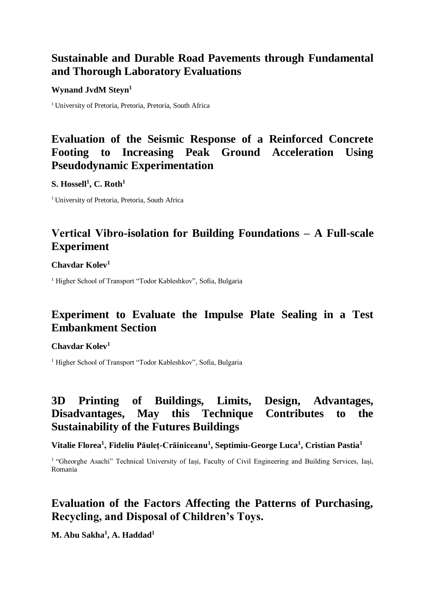## **Sustainable and Durable Road Pavements through Fundamental and Thorough Laboratory Evaluations**

**Wynand JvdM Steyn<sup>1</sup>**

<sup>1</sup> University of Pretoria, Pretoria, Pretoria, South Africa

# **Evaluation of the Seismic Response of a Reinforced Concrete Footing to Increasing Peak Ground Acceleration Using Pseudodynamic Experimentation**

**S. Hossell<sup>1</sup> , C. Roth<sup>1</sup>**

<sup>1</sup> University of Pretoria, Pretoria, South Africa

# **Vertical Vibrо-isolation for Building Foundations – A Full-scale Experiment**

### **Chavdar Kolev<sup>1</sup>**

<sup>1</sup> Higher School of Transport "Todor Kableshkov", Sofia, Bulgaria

# **Experiment to Evaluate the Impulse Plate Sealing in a Test Embankment Section**

#### **Chavdar Kolev<sup>1</sup>**

<sup>1</sup> Higher School of Transport "Todor Kableshkov", Sofia, Bulgaria

### **3D Printing of Buildings, Limits, Design, Advantages, Disadvantages, May this Technique Contributes to the Sustainability of the Futures Buildings**

**Vitalie Florea<sup>1</sup> , Fideliu Păuleţ-Crăiniceanu<sup>1</sup> , Septimiu-George Luca<sup>1</sup> , Cristian Pastia<sup>1</sup>**

<sup>1</sup> "Gheorghe Asachi" Technical University of Iași, Faculty of Civil Engineering and Building Services, Iași, Romania

# **Evaluation of the Factors Affecting the Patterns of Purchasing, Recycling, and Disposal of Children's Toys.**

**M. Abu Sakha<sup>1</sup> , A. Haddad<sup>1</sup>**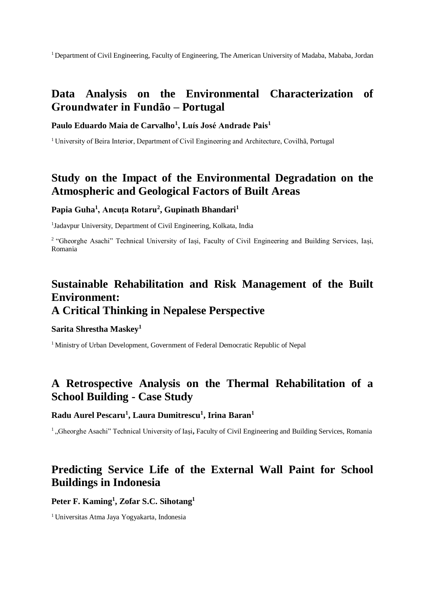<sup>1</sup> Department of Civil Engineering, Faculty of Engineering, The American University of Madaba, Mababa, Jordan

# **Data Analysis on the Environmental Characterization of Groundwater in Fundão – Portugal**

#### **Paulo Eduardo Maia de Carvalho<sup>1</sup> , Luís José Andrade Pais<sup>1</sup>**

<sup>1</sup> University of Beira Interior, Department of Civil Engineering and Architecture, Covilhã, Portugal

### **Study on the Impact of the Environmental Degradation on the Atmospheric and Geological Factors of Built Areas**

#### **Papia Guha<sup>1</sup> , Ancuţa Rotaru<sup>2</sup> , Gupinath Bhandari<sup>1</sup>**

<sup>1</sup>Jadavpur University, Department of Civil Engineering, Kolkata, India

2 "Gheorghe Asachi" Technical University of Iași, Faculty of Civil Engineering and Building Services, Iași, Romania

### **Sustainable Rehabilitation and Risk Management of the Built Environment: A Critical Thinking in Nepalese Perspective**

### **Sarita Shrestha Maskey<sup>1</sup>**

<sup>1</sup> Ministry of Urban Development, Government of Federal Democratic Republic of Nepal

### **A Retrospective Analysis on the Thermal Rehabilitation of a School Building - Case Study**

#### **Radu Aurel Pescaru<sup>1</sup> , Laura Dumitrescu<sup>1</sup> , Irina Baran<sup>1</sup>**

<sup>1</sup>, Gheorghe Asachi" Technical University of Iași, Faculty of Civil Engineering and Building Services, Romania

### **Predicting Service Life of the External Wall Paint for School Buildings in Indonesia**

#### **Peter F. Kaming<sup>1</sup> , Zofar S.C. Sihotang<sup>1</sup>**

1 Universitas Atma Jaya Yogyakarta, Indonesia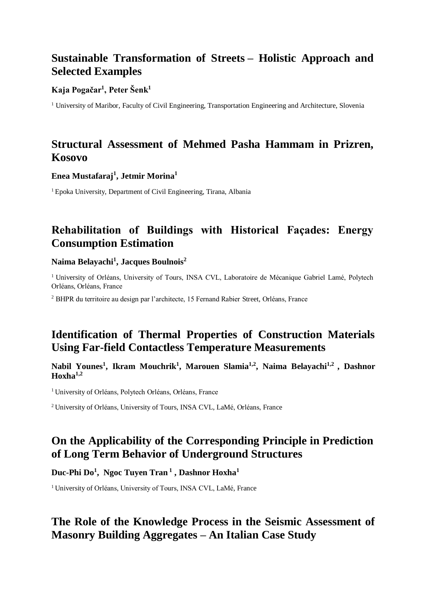# **Sustainable Transformation of Streets – Holistic Approach and Selected Examples**

#### **Kaja Pogačar<sup>1</sup> , Peter Šenk<sup>1</sup>**

<sup>1</sup> University of Maribor, Faculty of Civil Engineering, Transportation Engineering and Architecture, Slovenia

# **Structural Assessment of Mehmed Pasha Hammam in Prizren, Kosovo**

#### **Enea Mustafaraj<sup>1</sup> , Jetmir Morina<sup>1</sup>**

<sup>1</sup> Epoka University, Department of Civil Engineering, Tirana, Albania

# **Rehabilitation of Buildings with Historical Façades: Energy Consumption Estimation**

#### **Naima Belayachi<sup>1</sup> , Jacques Boulnois<sup>2</sup>**

<sup>1</sup> University of Orléans, University of Tours, INSA CVL, Laboratoire de Mécanique Gabriel Lamé, Polytech Orléans, Orléans, France

<sup>2</sup> BHPR du territoire au design par l'architecte, 15 Fernand Rabier Street, Orléans, France

# **Identification of Thermal Properties of Construction Materials Using Far-field Contactless Temperature Measurements**

**Nabil Younes<sup>1</sup> , Ikram Mouchrik<sup>1</sup> , Marouen Slamia1,2, Naima Belayachi1,2 , Dashnor Hoxha1,2**

<sup>1</sup> University of Orléans, Polytech Orléans, Orléans, France

<sup>2</sup> University of Orléans, University of Tours, INSA CVL, LaMé, Orléans, France

### **On the Applicability of the Corresponding Principle in Prediction of Long Term Behavior of Underground Structures**

**Duc-Phi Do<sup>1</sup> , Ngoc Tuyen Tran <sup>1</sup> , Dashnor Hoxha<sup>1</sup>**

<sup>1</sup> University of Orléans, University of Tours, INSA CVL, LaMé, France

# **The Role of the Knowledge Process in the Seismic Assessment of Masonry Building Aggregates – An Italian Case Study**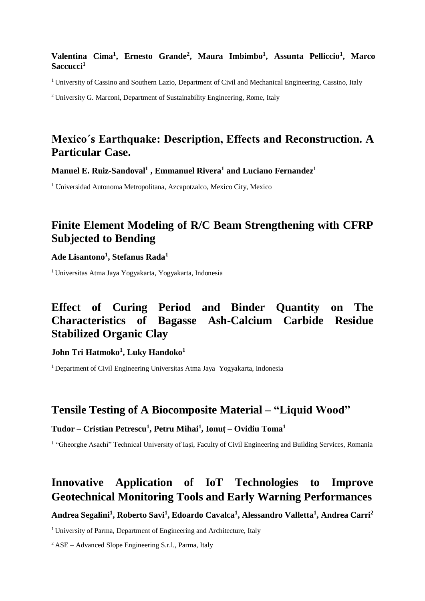### **Valentina Cima<sup>1</sup> , Ernesto Grande<sup>2</sup> , Maura Imbimbo<sup>1</sup> , Assunta Pelliccio<sup>1</sup> , Marco Saccucci<sup>1</sup>**

<sup>1</sup> University of Cassino and Southern Lazio, Department of Civil and Mechanical Engineering, Cassino, Italy

<sup>2</sup> University G. Marconi, Department of Sustainability Engineering, Rome, Italy

# **Mexico´s Earthquake: Description, Effects and Reconstruction. A Particular Case.**

**Manuel E. Ruiz-Sandoval<sup>1</sup> , Emmanuel Rivera<sup>1</sup> and Luciano Fernandez<sup>1</sup>**

<sup>1</sup> Universidad Autonoma Metropolitana, Azcapotzalco, Mexico City, Mexico

# **Finite Element Modeling of R/C Beam Strengthening with CFRP Subjected to Bending**

**Ade Lisantono<sup>1</sup> , Stefanus Rada<sup>1</sup>**

<sup>1</sup> Universitas Atma Jaya Yogyakarta, Yogyakarta, Indonesia

# **Effect of Curing Period and Binder Quantity on The Characteristics of Bagasse Ash-Calcium Carbide Residue Stabilized Organic Clay**

### **John Tri Hatmoko<sup>1</sup> , Luky Handoko<sup>1</sup>**

<sup>1</sup> Department of Civil Engineering Universitas Atma Jaya Yogyakarta, Indonesia

### **Tensile Testing of A Biocomposite Material – "Liquid Wood"**

#### **Tudor – Cristian Petrescu<sup>1</sup> , Petru Mihai<sup>1</sup> , Ionuţ – Ovidiu Toma<sup>1</sup>**

<sup>1</sup> "Gheorghe Asachi" Technical University of Iași, Faculty of Civil Engineering and Building Services, Romania

# **Innovative Application of IoT Technologies to Improve Geotechnical Monitoring Tools and Early Warning Performances**

**Andrea Segalini<sup>1</sup> , Roberto Savi<sup>1</sup> , Edoardo Cavalca<sup>1</sup> , Alessandro Valletta<sup>1</sup> , Andrea Carri<sup>2</sup>**

<sup>1</sup> University of Parma, Department of Engineering and Architecture, Italy

 $2$ ASE – Advanced Slope Engineering S.r.l., Parma, Italy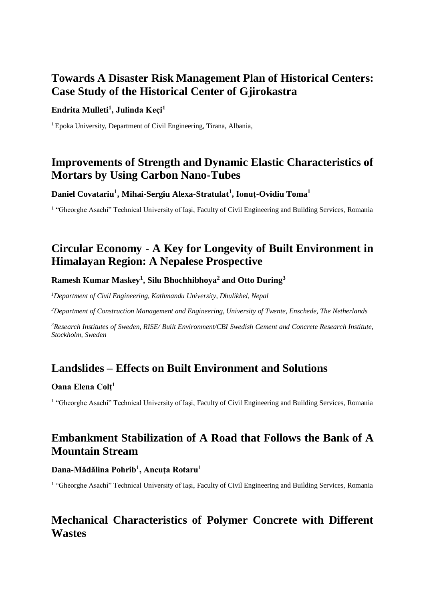# **Towards A Disaster Risk Management Plan of Historical Centers: Case Study of the Historical Center of Gjirokastra**

### **Endrita Mulleti<sup>1</sup> , Julinda Keçi<sup>1</sup>**

<sup>1</sup> Epoka University, Department of Civil Engineering, Tirana, Albania,

# **Improvements of Strength and Dynamic Elastic Characteristics of Mortars by Using Carbon Nano-Tubes**

### **Daniel Covatariu<sup>1</sup> , Mihai-Sergiu Alexa-Stratulat<sup>1</sup> , Ionuţ-Ovidiu Toma<sup>1</sup>**

<sup>1</sup> "Gheorghe Asachi" Technical University of Iași, Faculty of Civil Engineering and Building Services, Romania

# **Circular Economy - A Key for Longevity of Built Environment in Himalayan Region: A Nepalese Prospective**

#### **Ramesh Kumar Maskey<sup>1</sup> , Silu Bhochhibhoya<sup>2</sup> and Otto During<sup>3</sup>**

*<sup>1</sup>Department of Civil Engineering, Kathmandu University, Dhulikhel, Nepal*

*<sup>2</sup>Department of Construction Management and Engineering, University of Twente, Enschede, The Netherlands*

*<sup>3</sup>Research Institutes of Sweden, RISE/ Built Environment/CBI Swedish Cement and Concrete Research Institute, Stockholm, Sweden*

# **Landslides – Effects on Built Environment and Solutions**

### **Oana Elena Colţ<sup>1</sup>**

<sup>1</sup> "Gheorghe Asachi" Technical University of Iași, Faculty of Civil Engineering and Building Services, Romania

# **Embankment Stabilization of A Road that Follows the Bank of A Mountain Stream**

### **Dana-Mădălina Pohrib<sup>1</sup> , Ancuţa Rotaru<sup>1</sup>**

<sup>1</sup> "Gheorghe Asachi" Technical University of Iași, Faculty of Civil Engineering and Building Services, Romania

# **Mechanical Characteristics of Polymer Concrete with Different Wastes**